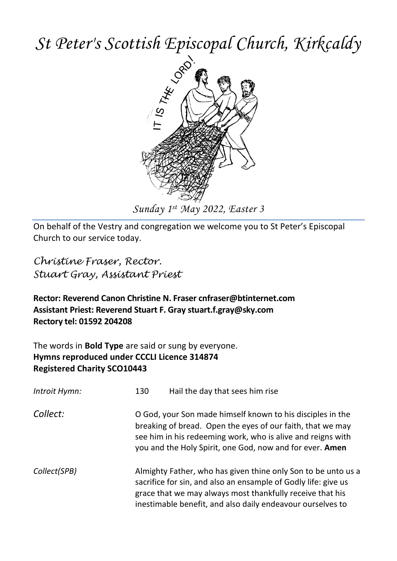# *St Peter's Scottish Episcopal Church, Kirkcaldy*



On behalf of the Vestry and congregation we welcome you to St Peter's Episcopal Church to our service today.

*Christine Fraser, Rector. Stuart Gray, Assistant Priest*

**Rector: Reverend Canon Christine N. Fraser cnfraser@btinternet.com Assistant Priest: Reverend Stuart F. Gray stuart.f.gray@sky.com Rectory tel: 01592 204208**

The words in **Bold Type** are said or sung by everyone. **Hymns reproduced under CCCLI Licence 314874 Registered Charity SCO10443**

| Introit Hymn: | 130<br>Hail the day that sees him rise                                                                                                                                                                                                                     |  |  |
|---------------|------------------------------------------------------------------------------------------------------------------------------------------------------------------------------------------------------------------------------------------------------------|--|--|
| Collect:      | O God, your Son made himself known to his disciples in the<br>breaking of bread. Open the eyes of our faith, that we may<br>see him in his redeeming work, who is alive and reigns with<br>you and the Holy Spirit, one God, now and for ever. Amen        |  |  |
| Collect(SPB)  | Almighty Father, who has given thine only Son to be unto us a<br>sacrifice for sin, and also an ensample of Godly life: give us<br>grace that we may always most thankfully receive that his<br>inestimable benefit, and also daily endeavour ourselves to |  |  |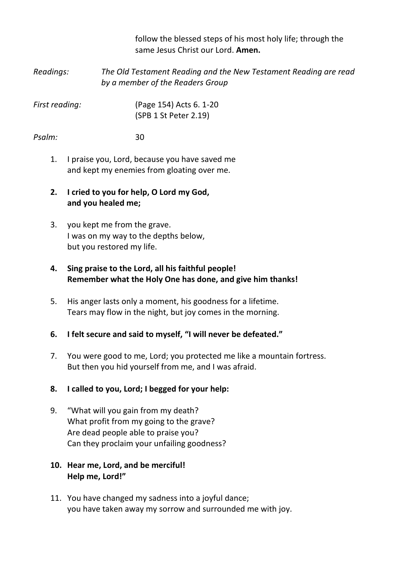follow the blessed steps of his most holy life; through the same Jesus Christ our Lord. **Amen.**

*Readings: The Old Testament Reading and the New Testament Reading are read by a member of the Readers Group*

*First reading:* (Page 154) Acts 6. 1-20 (SPB 1 St Peter 2.19)

*Psalm:* 30

- 1. I praise you, Lord, because you have saved me and kept my enemies from gloating over me.
- **2. I cried to you for help, O Lord my God, and you healed me;**
- 3. you kept me from the grave. I was on my way to the depths below, but you restored my life.

# **4. Sing praise to the Lord, all his faithful people! Remember what the Holy One has done, and give him thanks!**

5. His anger lasts only a moment, his goodness for a lifetime. Tears may flow in the night, but joy comes in the morning.

# **6. I felt secure and said to myself, "I will never be defeated."**

7. You were good to me, Lord; you protected me like a mountain fortress. But then you hid yourself from me, and I was afraid.

# **8. I called to you, Lord; I begged for your help:**

9. "What will you gain from my death? What profit from my going to the grave? Are dead people able to praise you? Can they proclaim your unfailing goodness?

## **10. Hear me, Lord, and be merciful! Help me, Lord!"**

11. You have changed my sadness into a joyful dance; you have taken away my sorrow and surrounded me with joy.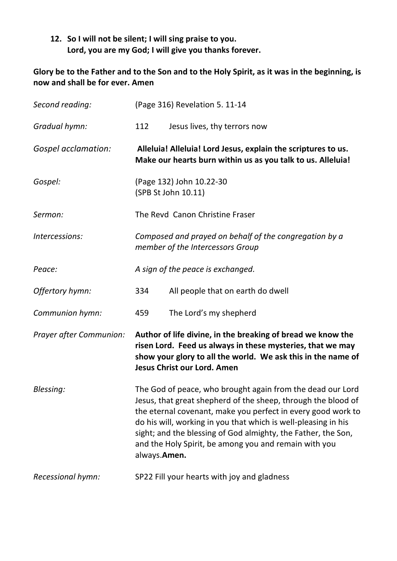# **12. So I will not be silent; I will sing praise to you. Lord, you are my God; I will give you thanks forever.**

# **Glory be to the Father and to the Son and to the Holy Spirit, as it was in the beginning, is now and shall be for ever. Amen**

| Second reading:         | (Page 316) Revelation 5. 11-14                                                                                                                                                                                                                                                                                                                                                                          |                                                                                                                                                                                                                          |  |
|-------------------------|---------------------------------------------------------------------------------------------------------------------------------------------------------------------------------------------------------------------------------------------------------------------------------------------------------------------------------------------------------------------------------------------------------|--------------------------------------------------------------------------------------------------------------------------------------------------------------------------------------------------------------------------|--|
| Gradual hymn:           | 112                                                                                                                                                                                                                                                                                                                                                                                                     | Jesus lives, thy terrors now                                                                                                                                                                                             |  |
| Gospel acclamation:     |                                                                                                                                                                                                                                                                                                                                                                                                         | Alleluia! Alleluia! Lord Jesus, explain the scriptures to us.<br>Make our hearts burn within us as you talk to us. Alleluia!                                                                                             |  |
| Gospel:                 | (Page 132) John 10.22-30<br>(SPB St John 10.11)                                                                                                                                                                                                                                                                                                                                                         |                                                                                                                                                                                                                          |  |
| Sermon:                 | The Revd Canon Christine Fraser                                                                                                                                                                                                                                                                                                                                                                         |                                                                                                                                                                                                                          |  |
| Intercessions:          | Composed and prayed on behalf of the congregation by a<br>member of the Intercessors Group                                                                                                                                                                                                                                                                                                              |                                                                                                                                                                                                                          |  |
| Peace:                  | A sign of the peace is exchanged.                                                                                                                                                                                                                                                                                                                                                                       |                                                                                                                                                                                                                          |  |
| Offertory hymn:         | 334                                                                                                                                                                                                                                                                                                                                                                                                     | All people that on earth do dwell                                                                                                                                                                                        |  |
| Communion hymn:         | 459                                                                                                                                                                                                                                                                                                                                                                                                     | The Lord's my shepherd                                                                                                                                                                                                   |  |
| Prayer after Communion: |                                                                                                                                                                                                                                                                                                                                                                                                         | Author of life divine, in the breaking of bread we know the<br>risen Lord. Feed us always in these mysteries, that we may<br>show your glory to all the world. We ask this in the name of<br>Jesus Christ our Lord, Amen |  |
| Blessing:               | The God of peace, who brought again from the dead our Lord<br>Jesus, that great shepherd of the sheep, through the blood of<br>the eternal covenant, make you perfect in every good work to<br>do his will, working in you that which is well-pleasing in his<br>sight; and the blessing of God almighty, the Father, the Son,<br>and the Holy Spirit, be among you and remain with you<br>always.Amen. |                                                                                                                                                                                                                          |  |
| Recessional hymn:       | SP22 Fill your hearts with joy and gladness                                                                                                                                                                                                                                                                                                                                                             |                                                                                                                                                                                                                          |  |